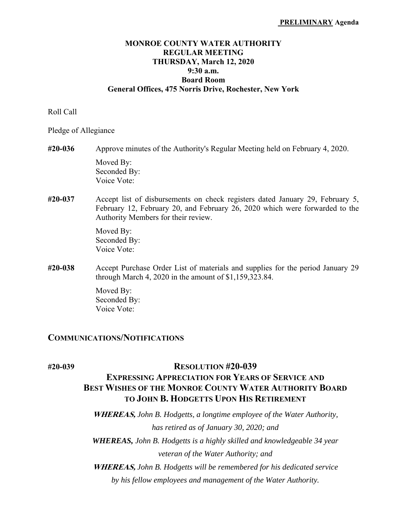# **MONROE COUNTY WATER AUTHORITY REGULAR MEETING THURSDAY, March 12, 2020 9:30 a.m. Board Room General Offices, 475 Norris Drive, Rochester, New York**

### Roll Call

Pledge of Allegiance

# **#20-036** Approve minutes of the Authority's Regular Meeting held on February 4, 2020. Moved By: Seconded By: Voice Vote:

**#20-037** Accept list of disbursements on check registers dated January 29, February 5, February 12, February 20, and February 26, 2020 which were forwarded to the Authority Members for their review.

> Moved By: Seconded By: Voice Vote:

**#20-038** Accept Purchase Order List of materials and supplies for the period January 29 through March 4, 2020 in the amount of \$1,159,323.84.

> Moved By: Seconded By: Voice Vote:

# **COMMUNICATIONS/NOTIFICATIONS**

#### **#20-039 RESOLUTION #20-039**

# **EXPRESSING APPRECIATION FOR YEARS OF SERVICE AND BEST WISHES OF THE MONROE COUNTY WATER AUTHORITY BOARD TO JOHN B. HODGETTS UPON HIS RETIREMENT**

 **WHEREAS,** *John B. Hodgetts, a longtime employee of the Water Authority, has retired as of January 30, 2020; and WHEREAS, John B. Hodgetts is a highly skilled and knowledgeable 34 year veteran of the Water Authority; and*   **WHEREAS,** *John B. Hodgetts will be remembered for his dedicated service* 

 *by his fellow employees and management of the Water Authority.*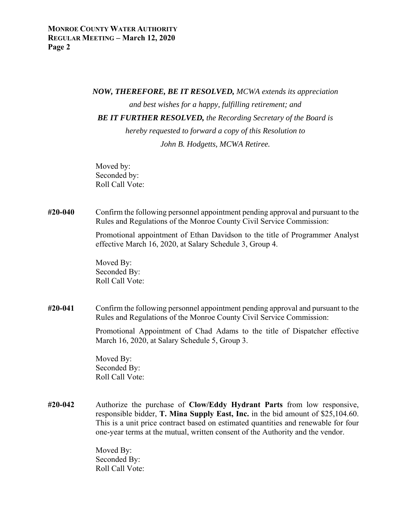#### *NOW, THEREFORE, BE IT RESOLVED, MCWA extends its appreciation*

 *and best wishes for a happy, fulfilling retirement; and* 

*BE IT FURTHER RESOLVED, the Recording Secretary of the Board is* 

 *hereby requested to forward a copy of this Resolution to John B. Hodgetts, MCWA Retiree.* 

Moved by: Seconded by: Roll Call Vote:

# **#20-040** Confirm the following personnel appointment pending approval and pursuant to the Rules and Regulations of the Monroe County Civil Service Commission:

 Promotional appointment of Ethan Davidson to the title of Programmer Analyst effective March 16, 2020, at Salary Schedule 3, Group 4.

 Moved By: Seconded By: Roll Call Vote:

**#20-041** Confirm the following personnel appointment pending approval and pursuant to the Rules and Regulations of the Monroe County Civil Service Commission:

> Promotional Appointment of Chad Adams to the title of Dispatcher effective March 16, 2020, at Salary Schedule 5, Group 3.

 Moved By: Seconded By: Roll Call Vote:

**#20-042** Authorize the purchase of **Clow/Eddy Hydrant Parts** from low responsive, responsible bidder, **T. Mina Supply East, Inc.** in the bid amount of \$25,104.60. This is a unit price contract based on estimated quantities and renewable for four one-year terms at the mutual, written consent of the Authority and the vendor.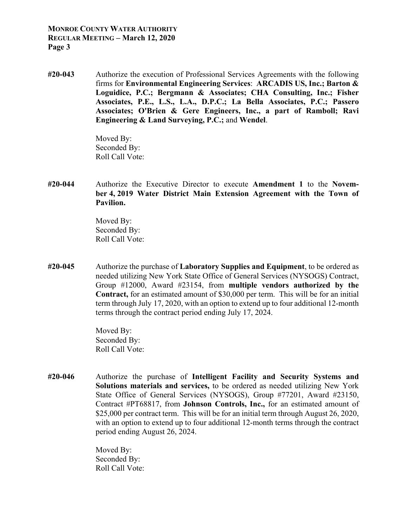**MONROE COUNTY WATER AUTHORITY REGULAR MEETING – March 12, 2020 Page 3** 

**#20-043** Authorize the execution of Professional Services Agreements with the following firms for **Environmental Engineering Services**: **ARCADIS US, Inc.; Barton & Loguidice, P.C.; Bergmann & Associates; CHA Consulting, Inc.; Fisher Associates, P.E., L.S., L.A., D.P.C.; La Bella Associates, P.C.; Passero Associates; O'Brien & Gere Engineers, Inc., a part of Ramboll; Ravi Engineering & Land Surveying, P.C.;** and **Wendel**.

> Moved By: Seconded By: Roll Call Vote:

**#20-044** Authorize the Executive Director to execute **Amendment 1** to the **November 4, 2019 Water District Main Extension Agreement with the Town of Pavilion.** 

> Moved By: Seconded By: Roll Call Vote:

**#20-045** Authorize the purchase of **Laboratory Supplies and Equipment**, to be ordered as needed utilizing New York State Office of General Services (NYSOGS) Contract, Group #12000, Award #23154, from **multiple vendors authorized by the Contract,** for an estimated amount of \$30,000 per term. This will be for an initial term through July 17, 2020, with an option to extend up to four additional 12-month terms through the contract period ending July 17, 2024.

> Moved By: Seconded By: Roll Call Vote:

**#20-046** Authorize the purchase of **Intelligent Facility and Security Systems and Solutions materials and services,** to be ordered as needed utilizing New York State Office of General Services (NYSOGS), Group #77201, Award #23150, Contract #PT68817, from **Johnson Controls, Inc.,** for an estimated amount of \$25,000 per contract term. This will be for an initial term through August 26, 2020, with an option to extend up to four additional 12-month terms through the contract period ending August 26, 2024.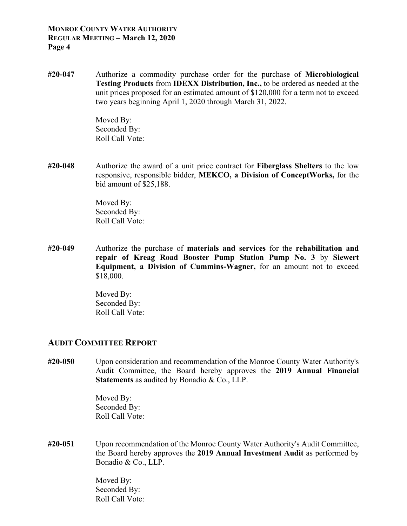# **MONROE COUNTY WATER AUTHORITY REGULAR MEETING – March 12, 2020 Page 4**

**#20-047** Authorize a commodity purchase order for the purchase of **Microbiological Testing Products** from **IDEXX Distribution, Inc.,** to be ordered as needed at the unit prices proposed for an estimated amount of \$120,000 for a term not to exceed two years beginning April 1, 2020 through March 31, 2022.

> Moved By: Seconded By: Roll Call Vote:

**#20-048** Authorize the award of a unit price contract for **Fiberglass Shelters** to the low responsive, responsible bidder, **MEKCO, a Division of ConceptWorks,** for the bid amount of \$25,188.

> Moved By: Seconded By: Roll Call Vote:

**#20-049** Authorize the purchase of **materials and services** for the **rehabilitation and repair of Kreag Road Booster Pump Station Pump No. 3** by **Siewert Equipment, a Division of Cummins-Wagner,** for an amount not to exceed \$18,000.

> Moved By: Seconded By: Roll Call Vote:

# **AUDIT COMMITTEE REPORT**

**#20-050** Upon consideration and recommendation of the Monroe County Water Authority's Audit Committee, the Board hereby approves the **2019 Annual Financial Statements** as audited by Bonadio & Co., LLP.

> Moved By: Seconded By: Roll Call Vote:

**#20-051** Upon recommendation of the Monroe County Water Authority's Audit Committee, the Board hereby approves the **2019 Annual Investment Audit** as performed by Bonadio & Co., LLP.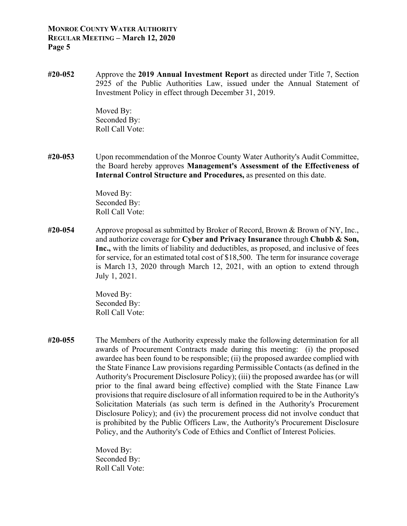# **MONROE COUNTY WATER AUTHORITY REGULAR MEETING – March 12, 2020 Page 5**

**#20-052** Approve the **2019 Annual Investment Report** as directed under Title 7, Section 2925 of the Public Authorities Law, issued under the Annual Statement of Investment Policy in effect through December 31, 2019.

> Moved By: Seconded By: Roll Call Vote:

**#20-053** Upon recommendation of the Monroe County Water Authority's Audit Committee, the Board hereby approves **Management's Assessment of the Effectiveness of Internal Control Structure and Procedures,** as presented on this date.

> Moved By: Seconded By: Roll Call Vote:

**#20-054** Approve proposal as submitted by Broker of Record, Brown & Brown of NY, Inc., and authorize coverage for **Cyber and Privacy Insurance** through **Chubb & Son, Inc.,** with the limits of liability and deductibles, as proposed, and inclusive of fees for service, for an estimated total cost of \$18,500. The term for insurance coverage is March 13, 2020 through March 12, 2021, with an option to extend through July 1, 2021.

> Moved By: Seconded By: Roll Call Vote:

**#20-055** The Members of the Authority expressly make the following determination for all awards of Procurement Contracts made during this meeting: (i) the proposed awardee has been found to be responsible; (ii) the proposed awardee complied with the State Finance Law provisions regarding Permissible Contacts (as defined in the Authority's Procurement Disclosure Policy); (iii) the proposed awardee has (or will prior to the final award being effective) complied with the State Finance Law provisions that require disclosure of all information required to be in the Authority's Solicitation Materials (as such term is defined in the Authority's Procurement Disclosure Policy); and (iv) the procurement process did not involve conduct that is prohibited by the Public Officers Law, the Authority's Procurement Disclosure Policy, and the Authority's Code of Ethics and Conflict of Interest Policies.